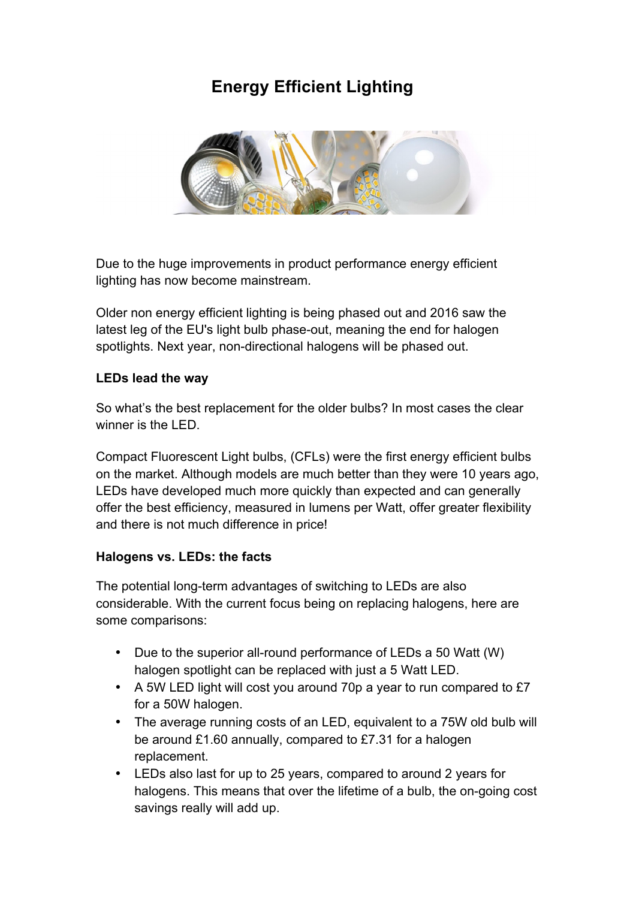## **Energy Efficient Lighting**



Due to the huge improvements in product performance energy efficient lighting has now become mainstream.

Older non energy efficient lighting is being phased out and 2016 saw the latest leg of the EU's light bulb phase-out, meaning the end for halogen spotlights. Next year, non-directional halogens will be phased out.

## **LEDs lead the way**

So what's the best replacement for the older bulbs? In most cases the clear winner is the LED.

Compact Fluorescent Light bulbs, (CFLs) were the first energy efficient bulbs on the market. Although models are much better than they were 10 years ago, LEDs have developed much more quickly than expected and can generally offer the best efficiency, measured in lumens per Watt, offer greater flexibility and there is not much difference in price!

## **Halogens vs. LEDs: the facts**

The potential long-term advantages of switching to LEDs are also considerable. With the current focus being on replacing halogens, here are some comparisons:

- Due to the superior all-round performance of LEDs a 50 Watt (W) halogen spotlight can be replaced with just a 5 Watt LED.
- A 5W LED light will cost you around 70p a year to run compared to £7 for a 50W halogen.
- The average running costs of an LED, equivalent to a 75W old bulb will be around £1.60 annually, compared to £7.31 for a halogen replacement.
- LEDs also last for up to 25 years, compared to around 2 years for halogens. This means that over the lifetime of a bulb, the on-going cost savings really will add up.